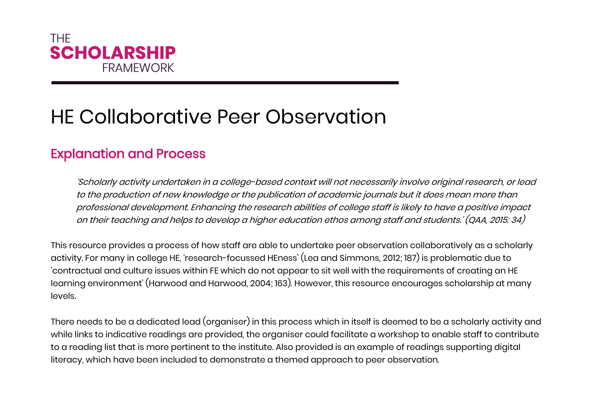

## HE Collaborative Peer Observation

## Explanation and Process

'Scholarly activity undertaken in a college-based context will not necessarily involve original research, or lead to the production of new knowledge or the publication of academic journals but it does mean more than professional development. Enhancing the research abilities of college staff is likely to have a positive impact on their teaching and helps to develop a higher education ethos among staff and students.' (QAA, 2015: 34)

This resource provides a process of how staff are able to undertake peer observation collaboratively as a scholarly activity. For many in college HE, 'research-focussed HEness' (Lea and Simmons, 2012; 187) is problematic due to 'contractual and culture issues within FE which do not appear to sit well with the requirements of creating an HE learning environment' (Harwood and Harwood, 2004; 163). However, this resource encourages scholarship at many levels.

There needs to be a dedicated lead (organiser) in this process which in itself is deemed to be a scholarly activity and while links to indicative readings are provided, the organiser could facilitate a workshop to enable staff to contribute to a reading list that is more pertinent to the institute. Also provided is an example of readings supporting digital literacy, which have been included to demonstrate a themed approach to peer observation.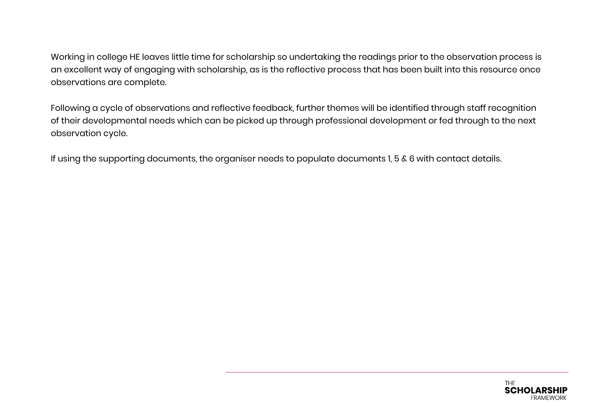Working in college HE leaves little time for scholarship so undertaking the readings prior to the observation process is an excellent way of engaging with scholarship, as is the reflective process that has been built into this resource once observations are complete.

Following a cycle of observations and reflective feedback, further themes will be identified through staff recognition of their developmental needs which can be picked up through professional development or fed through to the next observation cycle.

If using the supporting documents, the organiser needs to populate documents 1, 5 & 6 with contact details.